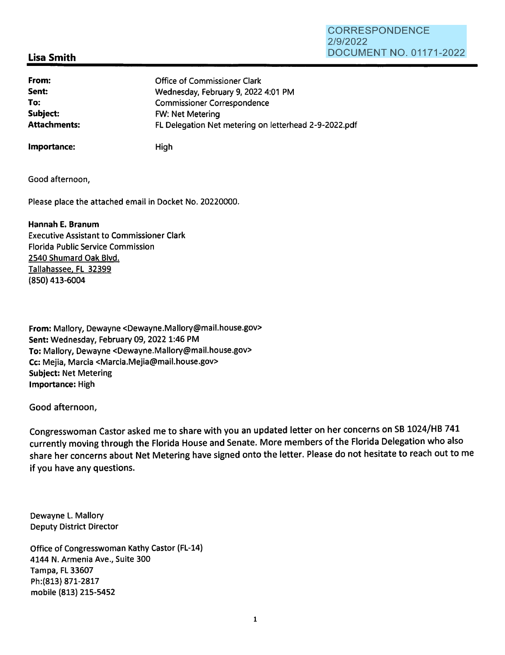#### **CORRESPONDENCE** 2/9/2022 DOCUMENT NO. 01171-2022

# **Lisa Smith**

**From: Sent: To: Subject:**  Office of Commissioner Clark Wednesday, February 9, 2022 4:01 PM Commissioner Correspondence FW: Net Metering **Attachments:** FL Delegation Net metering on letterhead 2-9-2022.pdf

**Importance:** High

Good afternoon,

Please place the attached email in Docket No. 20220000.

**Hannah E. Branum** 

Executive Assistant to Commissioner Clark Florida Public Service Commission 2540 Shumard Oak Blvd. Tallahassee, FL 32399 (850) 413-6004

**From:** Mallory, Dewayne <Dewayne.Mallory@mail.house.gov> **Sent:** Wednesday, February 09, 2022 1:46 PM **To:** Mallory, Dewayne <Dewayne.Mallory@mail.house.gov> **Cc:** Mejia, Marcia <Marcia.Mejia@mail.house.gov> **Subject:** Net Metering **Importance:** High

Good afternoon,

Congresswoman Castor asked me to share with you an updated letter on her concerns on SB 1024/HB 741 currently moving through the Florida House and Senate. More members of the Florida Delegation who also share her concerns about Net Metering have signed onto the letter. Please do not hesitate to reach out to me if you have any questions.

Dewayne L. Mallory Deputy District Director

Office of Congresswoman Kathy Castor (FL-14) 4144 N. Armenia Ave., Suite 300 Tampa, FL 33607 Ph:(813) 871-2817 mobile (813) 215-5452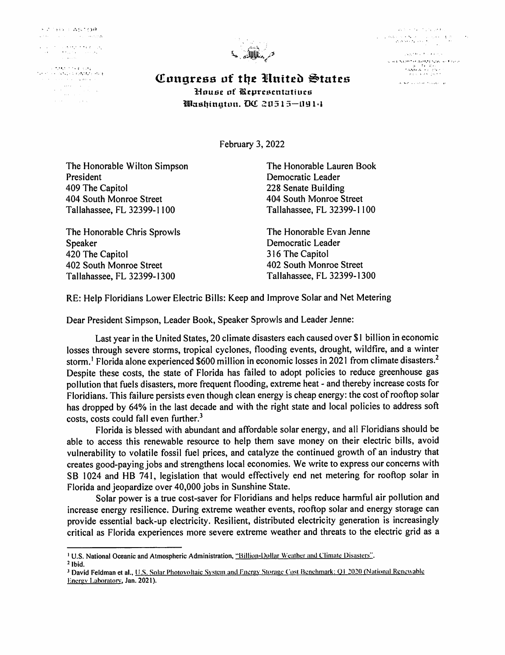**KATHY LASTOR**  $\alpha$  for  $\alpha = \beta$  ,  $\beta = \beta$  , and  $\beta = \alpha$  ,  $\beta$  )  $\alpha$ 

 $\label{eq:2} \begin{split} \mathcal{L}^{\alpha\beta}(\mathcal{L}^{\alpha\beta})^{\beta\gamma} &= \mathcal{L}^{\alpha\beta}(\mathcal{L}^{\alpha\beta})^{\beta\gamma} \mathcal{L}^{\alpha\beta} \mathcal{L}^{\beta\gamma} \mathcal{L}^{\beta\gamma} \mathcal{L}^{\beta\gamma} \mathcal{L}^{\beta\gamma} \\ &= \mathcal{L}^{\alpha\beta} \mathcal{L}^{\alpha\beta} \mathcal{L}^{\beta\gamma} \mathcal{L}^{\beta\gamma} \mathcal{L}^{\beta\gamma} \mathcal{L}^{\beta\gamma} \mathcal{L}^{\beta\gamma} \$ 

...... · .. ' ',, ..  $\begin{split} \mathcal{L}_{\text{G}}(\mathcal{L}_{\text{G}}) & = \mathcal{L}_{\text{G}}(\mathcal{L}_{\text{G}}) \mathcal{L}_{\text{G}}(\mathcal{L}_{\text{G}}) \mathcal{L}_{\text{G}}(\mathcal{L}_{\text{G}}) \\ & = \mathcal{L}_{\text{G}}(\mathcal{L}_{\text{G}}) \mathcal{L}_{\text{G}}(\mathcal{L}_{\text{G}}) \mathcal{L}_{\text{G}}(\mathcal{L}_{\text{G}}) \\ & = \mathcal{L}_{\text{G}}(\mathcal{L}_{\text{G}}) \mathcal{L}_{\text{G}}(\mathcal{L}_{\text{G}})$  $\sim 10^{-1}$ 



. In the case of the  $\mathcal{N}_\mathrm{c}$  , and  $\mathcal{N}_\mathrm{c}$  $\label{eq:1} \frac{d\phi_{\mathbf{A}}}{d\mathbf{A}}\left(\mathbf{A}^{(1)}\mathbf{A}^{(2)}\mathbf{A}^{(3)}\mathbf{A}^{(3)}\right) = \frac{1}{2}\left(\mathbf{A}^{(1)}\mathbf{A}^{(2)}\mathbf{A}^{(3)}\mathbf{A}^{(3)}\mathbf{A}^{(3)}\mathbf{A}^{(3)}\mathbf{A}^{(3)}\mathbf{A}^{(3)}\mathbf{A}^{(3)}\mathbf{A}^{(3)}\mathbf{A}^{(3)}\mathbf{A}^{(3)}\mathbf{A}^{(3)}\mathbf{A}^{($  $\frac{1}{2}$  is a state of the state of the state of the state of the state of the state of the state of the state of the state of the state of the state of the state of the state of the state of the state of the state of th  $\begin{array}{l} \displaystyle g\left( \overline{a}A, \nabla\Omega \overline{B} \right) \stackrel{\text{def}}{=} \overline{A} \overline{A} \overline{B} \overline{A} \overline{B} \overline{B} \overline{B} \overline{B} \overline{B} \overline{B} \overline{B} \overline{B} \overline{B} \overline{B} \overline{B} \overline{B} \overline{B} \overline{B} \overline{B} \overline{B} \overline{B} \overline{B} \overline{B} \overline{B} \overline{B} \overline{B} \overline{B} \overline{B} \overline{B$ 

.<br>Se est avistan human de

*Congress of the United States* **1-louse of iRrprcscntatiucf.i Bilm.d1ingtun. D<£** :.:!11515-UY 1·1

February 3, 2022

The Honorable Wilton Simpson President 409 The Capitol 404 South Monroe Street Tallahassee, FL 32399-1100

The Honorable Chris Sprowls Speaker 420 The Capitol 402 South Monroe Street Tallahassee, FL 32399-1300

The Honorable Lauren Book Democratic Leader 228 Senate Building 404 South Monroe Street Tallahassee, FL 32399-1100

The Honorable Evan Jenne Democratic Leader 316 The Capitol 402 South Monroe Street Tallahassee, FL 32399-1300

RE: Help Floridians Lower Electric Bills: Keep and Improve Solar and Net Metering

Dear President Simpson, Leader Book, Speaker Sprowls and Leader Jenne:

Last year in the United States, 20 climate disasters each caused over \$1 billion in economic losses through severe storms, tropical cyclones, flooding events, drought, wildfire, and a winter storm.<sup>1</sup> Florida alone experienced \$600 million in economic losses in 2021 from climate disasters.<sup>2</sup> Despite these costs, the state of Florida has failed to adopt policies to reduce greenhouse gas pollution that fuels disasters, more frequent flooding, extreme heat - and thereby increase costs for Floridians. This failure persists even though clean energy is cheap energy: the cost ofrooftop solar has dropped by 64% in the last decade and with the right state and local policies to address soft costs, costs could fall even further.<sup>3</sup>

Florida is blessed with abundant and affordable solar energy, and all Floridians should be able to access this renewable resource to help them save money on their electric bills, avoid vulnerability to volatile fossil fuel prices, and catalyze the continued growth of an industry that creates good-paying jobs and strengthens local economies. We write to express our concerns with SB 1024 and HB 741, legislation that would effectively end net metering for rooftop solar in Florida and jeopardize over 40,000 jobs in Sunshine State.

Solar power is a true cost-saver for Floridians and helps reduce harmful air pollution and increase energy resilience. During extreme weather events, rooftop solar and energy storage can provide essential back-up electricity. Resilient, distributed electricity generation is increasingly critical as Florida experiences more severe extreme weather and threats to the electric grid as <sup>a</sup>

<sup>&</sup>lt;sup>1</sup> U.S. National Oceanic and Atmospheric Administration, "Billion-Dollar Weather and Climate Disasters".

<sup>2</sup>Ibid.

<sup>&</sup>lt;sup>3</sup> David Feldman et al., U.S. Solar Photovoltaic System and Energy Storage Cost Benchmark: Q1 2020 (National Renewable Energy Laboratory, Jan. 2021).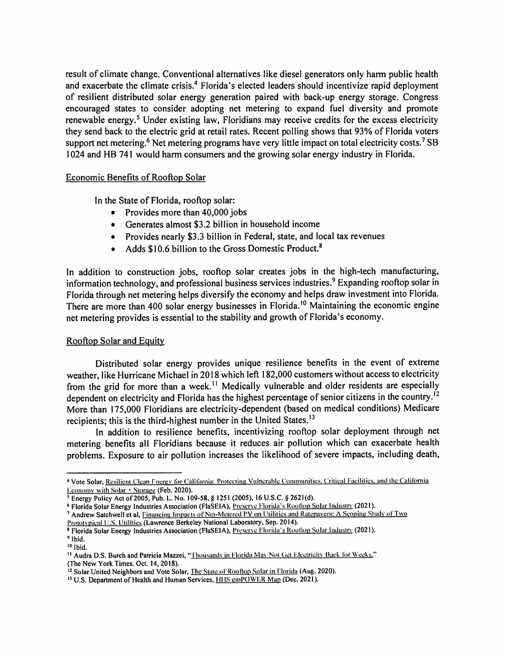result of climate change. Conventional alternatives like diesel generators only harm public health and exacerbate the climate crisis.<sup>4</sup> Florida's elected leaders should incentivize rapid deployment of resilient distributed solar energy generation paired with back-up energy storage. Congress encouraged states to consider adopting net metering to expand fuel diversity and promote renewable energy.<sup>5</sup> Under existing law, Floridians may receive credits for the excess electricity they send back to the electric grid at retail rates. Recent polling shows that 93% of Florida voters support net metering.<sup>6</sup> Net metering programs have very little impact on total electricity costs.<sup>7</sup> SB 1024 and HB 741 would harm consumers and the growing solar energy industry in Florida.

## Economic Benefits of Rooftop Solar

In the State of Florida, rooftop solar:

- Provides more than 40,000 jobs
- Generates almost \$3.2 billion in household income
- Provides nearly \$3.3 billion in Federal, state, and local tax revenues
- Adds \$10.6 billion to the Gross Domestic Product.<sup>8</sup>

In addition to construction jobs, rooftop solar creates jobs in the high-tech manufacturing, information technology, and professional business services industries.<sup>9</sup> Expanding rooftop solar in Florida through net metering helps diversify the economy and helps draw investment into Florida. There are more than 400 solar energy businesses in Florida.<sup>10</sup> Maintaining the economic engine net metering provides is essential to the stability and growth of Florida's economy.

## Rooftop Solar and Equity

Distributed solar energy provides unique resilience benefits in the event of extreme weather, like Hurricane Michael in 2018 which left 182,000 customers without access to electricity from the grid for more than a week.<sup>11</sup> Medically vulnerable and older residents are especially dependent on electricity and Florida has the highest percentage of senior citizens in the country.<sup>12</sup> More than 175,000 Floridians are electricity-dependent (based on medical conditions) Medicare recipients; this is the third-highest number in the United States.<sup>13</sup>

In addition to resilience benefits, incentivizing rooftop solar deployment through net metering benefits all Floridians because it reduces air pollution which can exacerbate health problems. Exposure to air pollution increases the likelihood of severe impacts, including death,

<sup>&</sup>lt;sup>4</sup> Vote Solar, Resilient Clean Energy for California: Protecting Vulnerable Communities. Critical Facilities, and the California Economy with Solar + Storage (Feb. 2020).

s **Energy Policy Act of 2005, Pub. L. No. 109-58,** § **1251 (2005), 16 U.S.C.** § **2621(d).** 

<sup>6</sup> **Florida Solar Energy Industries Association (FlaSEIA),** Preserve Floridc1's Roofiop Soh,r Industry **(2021** ).

<sup>&</sup>lt;sup>7</sup> Andrew Satchwell et al, Financing Impacts of Net-Metered PV on Utilities and Ratepayers: A Scoping Study of Two

<sup>(&</sup>gt;rutoh·pical U.S. Utilities **(Lawrence Berkeley National Laboratory, Sep. 2014).** 

<sup>&</sup>lt;sup>8</sup> Florida Solar Energy Industries Association (FlaSEIA), Preserve Florida's Rooftop Solar Industry (2021). <sup>9</sup> Ibid.

<sup>&</sup>lt;sup>10</sup> Ibid.

<sup>11</sup>**Audra D.S. Burch and Patricia Mazzei,** "Thousm1ds in Flori<la Mm- Not Get Elcctridtv **Back** for Weeks," **(The New York Times. Oct. 14, 2018).** 

<sup>12</sup> **Solar United Neighbors and Vote Solar,** The State of Rootlop Solar in Florida **(Aug. 2020).** 

<sup>13</sup>**U.S. Department of Health and Human Services,** Ill IS **cmPO\VER** Map **(Dec. 2021** ).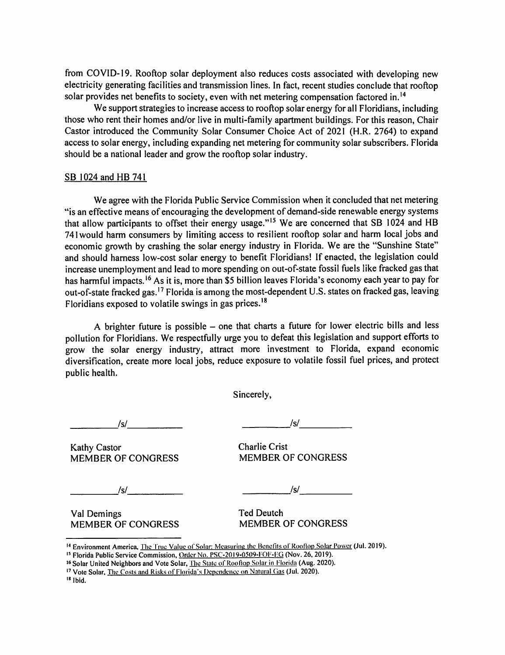from COVID-19. Rooftop solar deployment also reduces costs associated with developing new electricity generating facilities and transmission lines. In fact, recent studies conclude that rooftop solar provides net benefits to society, even with net metering compensation factored in.<sup>14</sup>

We support strategies to increase access to rooftop solar energy for all Floridians, including those who rent their homes and/or live in multi-family apartment buildings. For this reason, Chair Castor introduced the Community Solar Consumer Choice Act of 2021 (H.R. 2764) to expan<sup>d</sup> access to solar energy, including expanding net metering for community solar subscribers. Florida should be a national leader and grow the rooftop solar industry.

#### SB 1024 and HB 741

We agree with the Florida Public Service Commission when it concluded that net metering ''is an effective means of encouraging the development of demand-side renewable energy systems that allow participants to offset their energy usage."<sup>15</sup> We are concerned that SB 1024 and HB <sup>741</sup>would harm consumers by limiting access to resilient rooftop solar and harm local jobs and economic growth by crashing the solar energy industry in Florida. We are the "Sunshine State" and should harness low-cost solar energy to benefit Floridians! If enacted, the legislation could increase unemployment and lead to more spending on out-of-state fossil fuels like fracked gas that has harmful impacts.<sup>16</sup> As it is, more than \$5 billion leaves Florida's economy each year to pay for out-of-state fracked gas.<sup>17</sup> Florida is among the most-dependent U.S. states on fracked gas, leaving Floridians exposed to volatile swings in gas prices. <sup>18</sup>

A brighter future is possible – one that charts a future for lower electric bills and less pollution for Floridians. We respectfully urge you to defeat this legislation and support efforts to grow the solar energy industry, attract more investment to Florida, expand economic diversification, create more local jobs, reduce exposure to volatile fossil fuel prices, and protect public health.

Sincerely,

Kathy Castor Congress<br>
MEMBER OF CONGRESS
MEMBER OF CONGRESS

MEMBER OF CONGRESS MEMBER OF CONGRESS

*\_\_\_\_ .....;Isl \_\_\_\_ \_ Isl* -----------

*\_\_\_\_\_\_ Isl \_\_\_\_ \_* 

*\_\_\_\_\_ .Isl \_\_\_\_ \_* 

Val Demings<br>
MEMBER OF CONGRESS
HEMBER OF CONGRESS
THEMBER OF CONGRESS **MEMBER OF CONGRESS** 

<sup>14</sup> Environment America, The True Value of Solar: Measuring the Benefits of Rooftop Solar Power (Jul. 2019).

<sup>18</sup>**Jbid,** 

<sup>&</sup>lt;sup>15</sup> Florida Public Service Commission, Order No. PSC-2019-0509-FOF-EG (Nov. 26, 2019).

<sup>&</sup>lt;sup>16</sup> Solar United Neighbors and Vote Solar, The State of Rooftop Solar in Florida (Aug. 2020).

<sup>&</sup>lt;sup>17</sup> Vote Solar, The Costs and Risks of Florida's Dependence on Natural Gas (Jul. 2020).